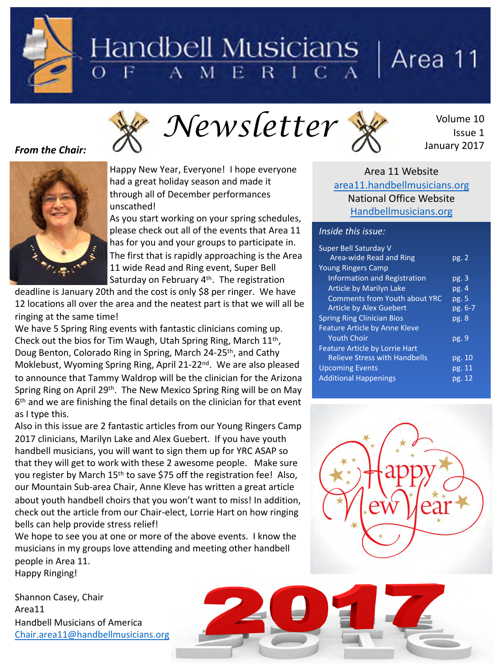# Handbell Musicians ERICZ

# Area 11

Issue 1

January 2017



#### **From the Chair:**



Happy New Year, Everyone! I hope everyone had a great holiday season and made it through all of December performances unscathed! 

As you start working on your spring schedules, please check out all of the events that Area 11 has for you and your groups to participate in. The first that is rapidly approaching is the Area 11 wide Read and Ring event, Super Bell Saturday on February  $4<sup>th</sup>$ . The registration

deadline is January 20th and the cost is only \$8 per ringer. We have 12 locations all over the area and the neatest part is that we will all be ringing at the same time!

We have 5 Spring Ring events with fantastic clinicians coming up. Check out the bios for Tim Waugh, Utah Spring Ring, March  $11<sup>th</sup>$ , Doug Benton, Colorado Ring in Spring, March 24-25<sup>th</sup>, and Cathy Moklebust, Wyoming Spring Ring, April 21-22<sup>nd</sup>. We are also pleased to announce that Tammy Waldrop will be the clinician for the Arizona Spring Ring on April 29<sup>th</sup>. The New Mexico Spring Ring will be on May  $6<sup>th</sup>$  and we are finishing the final details on the clinician for that event as I type this.

Also in this issue are 2 fantastic articles from our Young Ringers Camp 2017 clinicians, Marilyn Lake and Alex Guebert. If you have youth handbell musicians, you will want to sign them up for YRC ASAP so that they will get to work with these 2 awesome people. Make sure you register by March  $15<sup>th</sup>$  to save \$75 off the registration fee! Also, our Mountain Sub-area Chair, Anne Kleve has written a great article about youth handbell choirs that you won't want to miss! In addition, check out the article from our Chair-elect, Lorrie Hart on how ringing bells can help provide stress relief!

We hope to see you at one or more of the above events. I know the musicians in my groups love attending and meeting other handbell people in Area 11. Happy Ringing!

Shannon Casey, Chair Area11 Handbell Musicians of America [Chair.area11@handbellmusicians.org](mailto:chair.area11@hanbellmusicians.org)

#### Area 11 Website [area11.handbellmusicians.org](http://area11.handbellmusicians.org) National Office Website [Handbellmusicians.org](http://handbellmusicians.org)

#### *Inside this issue:*

*Newsletter* 

| Super Bell Saturday V<br>Area-wide Read and Ring | pg.2    |
|--------------------------------------------------|---------|
| <b>Young Ringers Camp</b>                        |         |
| <b>Information and Registration</b>              | pg.3    |
| <b>Article by Marilyn Lake</b>                   | pg.4    |
| <b>Comments from Youth about YRC</b>             | pg. 5   |
| <b>Article by Alex Guebert</b>                   | pg. 6-7 |
| <b>Spring Ring Clinician Bios</b>                | pg.8    |
| <b>Feature Article by Anne Kleve</b>             |         |
| <b>Youth Choir</b>                               | pg. 9   |
| <b>Feature Article by Lorrie Hart</b>            |         |
| <b>Relieve Stress with Handbells</b>             | pg. 10  |
| <b>Upcoming Events</b>                           | pg. 11  |
| <b>Additional Happenings</b>                     | pg. 12  |

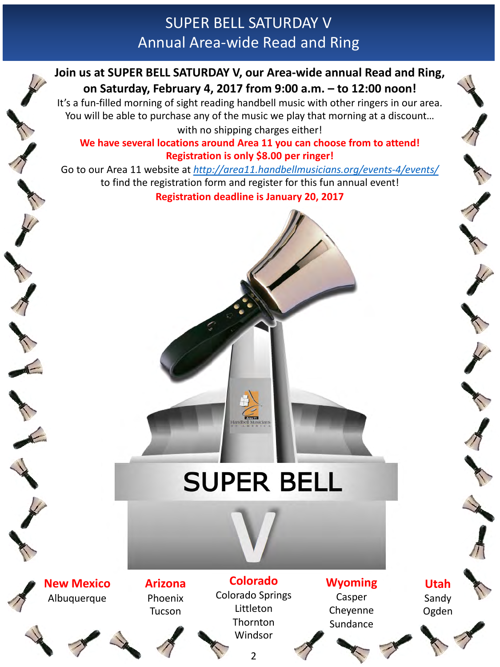# SUPER BELL SATURDAY V Annual Area-wide Read and Ring

# **Join us at SUPER BELL SATURDAY V, our Area-wide annual Read and Ring,** on Saturday, February 4, 2017 from 9:00 a.m. - to 12:00 noon!

It's a fun-filled morning of sight reading handbell music with other ringers in our area. You will be able to purchase any of the music we play that morning at a discount... with no shipping charges either!

#### We have several locations around Area 11 you can choose from to attend! **Registration is only \$8.00 per ringer!**

Go to our Area 11 website at <http://area11.handbellmusicians.org/events-4/events/> to find the registration form and register for this fun annual event! **Registration deadline is January 20, 2017** 

# **SUPER BELL**

**New Mexico** Albuquerque





**Arizona** Phoenix Tucson

**Colorado** Colorado Springs Littleton **Thornton** Windsor

2

**Wyoming**

Casper Cheyenne Sundance

**Utah** Sandy Ogden

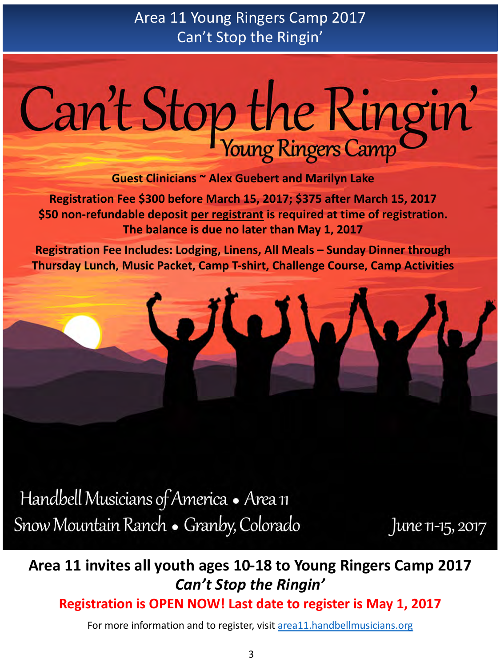# Can't Stop the Ringin'

**Guest Clinicians ~ Alex Guebert and Marilyn Lake** 

**Registration Fee \$300 before March 15, 2017; \$375 after March 15, 2017** \$50 non-refundable deposit per registrant is required at time of registration. The balance is due no later than May 1, 2017

**Registration Fee Includes: Lodging, Linens, All Meals - Sunday Dinner through Thursday Lunch, Music Packet, Camp T-shirt, Challenge Course, Camp Activities** 

Handbell Musicians of America • Area 11 Snow Mountain Ranch • Granby, Colorado

June 11-15, 2017

# Area 11 invites all youth ages 10-18 to Young Ringers Camp 2017 *Can't Stop the Ringin'*

**Registration is OPEN NOW! Last date to register is May 1, 2017** 

For more information and to register, visit area11.handbellmusicians.org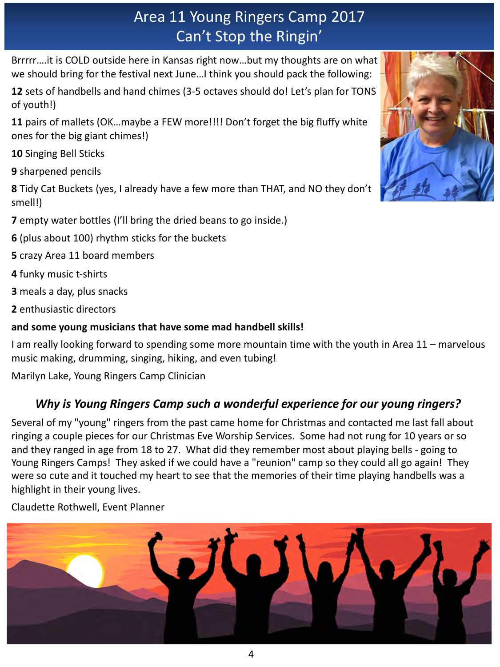Brrrrr....it is COLD outside here in Kansas right now...but my thoughts are on what we should bring for the festival next June...I think you should pack the following:

**12** sets of handbells and hand chimes (3-5 octaves should do! Let's plan for TONS of youth!)

**11** pairs of mallets (OK...maybe a FEW more!!!! Don't forget the big fluffy white ones for the big giant chimes!)

**10** Singing Bell Sticks

**9** sharpened pencils

**8** Tidy Cat Buckets (yes, I already have a few more than THAT, and NO they don't smell!)

**7** empty water bottles (I'll bring the dried beans to go inside.)

**6** (plus about 100) rhythm sticks for the buckets

**5** crazy Area 11 board members

**4** funky music t-shirts

**3** meals a day, plus snacks

**2** enthusiastic directors

# and some young musicians that have some mad handbell skills!

I am really looking forward to spending some more mountain time with the youth in Area 11 – marvelous music making, drumming, singing, hiking, and even tubing!

Marilyn Lake, Young Ringers Camp Clinician

# *Why is Young Ringers Camp such a wonderful experience for our young ringers?*

Several of my "young" ringers from the past came home for Christmas and contacted me last fall about ringing a couple pieces for our Christmas Eve Worship Services. Some had not rung for 10 years or so and they ranged in age from 18 to 27. What did they remember most about playing bells - going to Young Ringers Camps! They asked if we could have a "reunion" camp so they could all go again! They were so cute and it touched my heart to see that the memories of their time playing handbells was a highlight in their young lives.

Claudette Rothwell, Event Planner



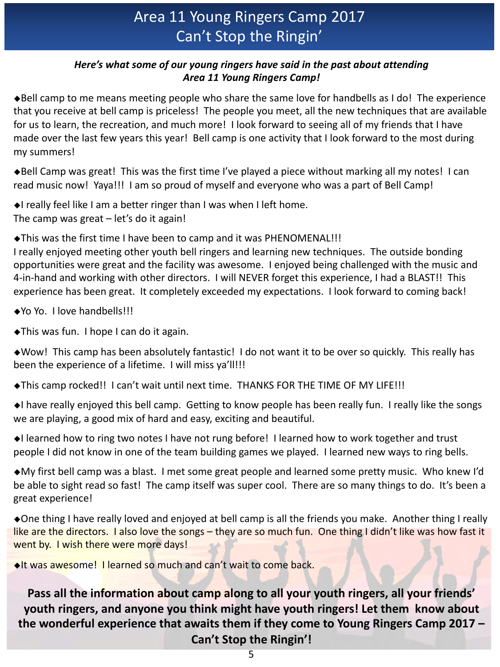#### *Here's* what some of our young ringers have said in the past about attending *Area 11 Young Ringers Camp!*

 $\blacklozenge$ Bell camp to me means meeting people who share the same love for handbells as I do! The experience that you receive at bell camp is priceless! The people you meet, all the new techniques that are available for us to learn, the recreation, and much more! I look forward to seeing all of my friends that I have made over the last few years this year! Bell camp is one activity that I look forward to the most during my summers! 

 $\blacklozenge$ Bell Camp was great! This was the first time I've played a piece without marking all my notes! I can read music now! Yaya!!! I am so proud of myself and everyone who was a part of Bell Camp!

 $\triangleleft$ I really feel like I am a better ringer than I was when I left home. The camp was great  $-$  let's do it again!

◆This was the first time I have been to camp and it was PHENOMENAL!!!

I really enjoyed meeting other youth bell ringers and learning new techniques. The outside bonding opportunities were great and the facility was awesome. I enjoyed being challenged with the music and 4-in-hand and working with other directors. I will NEVER forget this experience, I had a BLAST!! This experience has been great. It completely exceeded my expectations. I look forward to coming back!

◆Yo Yo. I love handbells!!!

 $\blacktriangleright$ This was fun. I hope I can do it again.

 $\triangle$ Wow! This camp has been absolutely fantastic! I do not want it to be over so quickly. This really has been the experience of a lifetime. I will miss ya'll!!!

◆This camp rocked!! I can't wait until next time. THANKS FOR THE TIME OF MY LIFE!!!

 $\blacklozenge$ I have really enjoyed this bell camp. Getting to know people has been really fun. I really like the songs we are playing, a good mix of hard and easy, exciting and beautiful.

◆I learned how to ring two notes I have not rung before! I learned how to work together and trust people I did not know in one of the team building games we played. I learned new ways to ring bells.

 $\bullet$ My first bell camp was a blast. I met some great people and learned some pretty music. Who knew I'd be able to sight read so fast! The camp itself was super cool. There are so many things to do. It's been a great experience!

◆One thing I have really loved and enjoyed at bell camp is all the friends you make. Another thing I really like are the directors. I also love the songs – they are so much fun. One thing I didn't like was how fast it went by. I wish there were more days!

 $\triangle$ It was awesome! I learned so much and can't wait to come back.

Pass all the information about camp along to all your youth ringers, all your friends' **youth ringers, and anyone you think might have youth ringers! Let them know about** the wonderful experience that awaits them if they come to Young Ringers Camp 2017 -**Can't Stop the Ringin'!**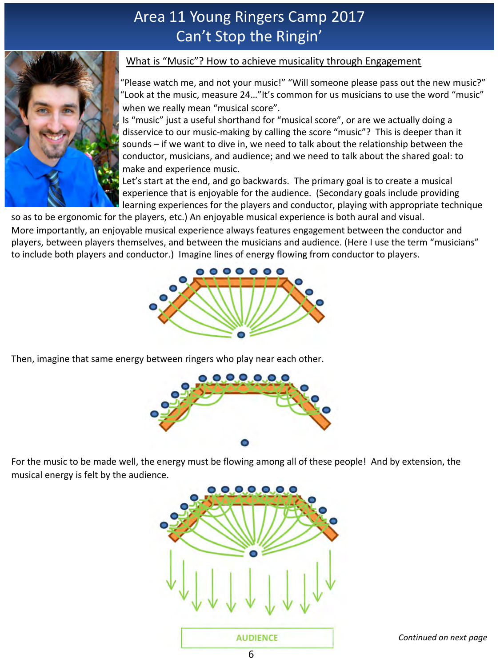

#### What is "Music"? How to achieve musicality through Engagement

"Please watch me, and not your music!" "Will someone please pass out the new music?" "Look at the music, measure  $24...$ "It's common for us musicians to use the word "music" when we really mean "musical score".

Is "music" just a useful shorthand for "musical score", or are we actually doing a disservice to our music-making by calling the score "music"? This is deeper than it sounds – if we want to dive in, we need to talk about the relationship between the conductor, musicians, and audience; and we need to talk about the shared goal: to make and experience music.

Let's start at the end, and go backwards. The primary goal is to create a musical experience that is enjoyable for the audience. (Secondary goals include providing learning experiences for the players and conductor, playing with appropriate technique

so as to be ergonomic for the players, etc.) An enjoyable musical experience is both aural and visual. More importantly, an enjoyable musical experience always features engagement between the conductor and players, between players themselves, and between the musicians and audience. (Here I use the term "musicians" to include both players and conductor.) Imagine lines of energy flowing from conductor to players.



Then, imagine that same energy between ringers who play near each other.



For the music to be made well, the energy must be flowing among all of these people! And by extension, the musical energy is felt by the audience.

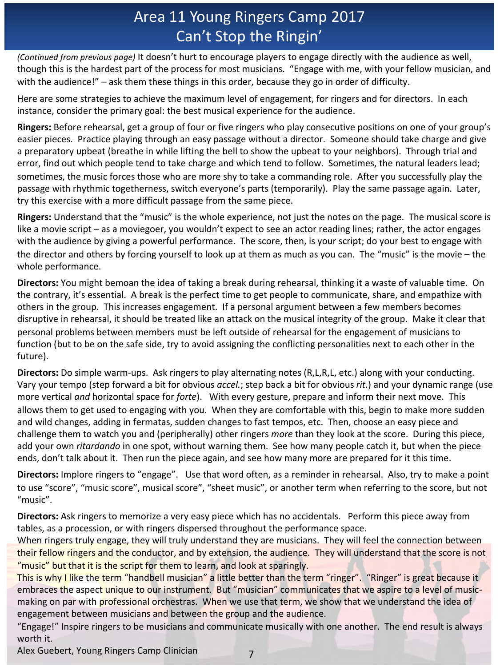*(Continued from previous page)* It doesn't hurt to encourage players to engage directly with the audience as well, though this is the hardest part of the process for most musicians. "Engage with me, with your fellow musician, and with the audience!" - ask them these things in this order, because they go in order of difficulty.

Here are some strategies to achieve the maximum level of engagement, for ringers and for directors. In each instance, consider the primary goal: the best musical experience for the audience.

**Ringers:** Before rehearsal, get a group of four or five ringers who play consecutive positions on one of your group's easier pieces. Practice playing through an easy passage without a director. Someone should take charge and give a preparatory upbeat (breathe in while lifting the bell to show the upbeat to your neighbors). Through trial and error, find out which people tend to take charge and which tend to follow. Sometimes, the natural leaders lead; sometimes, the music forces those who are more shy to take a commanding role. After you successfully play the passage with rhythmic togetherness, switch everyone's parts (temporarily). Play the same passage again. Later, try this exercise with a more difficult passage from the same piece.

**Ringers:** Understand that the "music" is the whole experience, not just the notes on the page. The musical score is like a movie script – as a moviegoer, you wouldn't expect to see an actor reading lines; rather, the actor engages with the audience by giving a powerful performance. The score, then, is your script; do your best to engage with the director and others by forcing yourself to look up at them as much as you can. The "music" is the movie – the whole performance.

**Directors:** You might bemoan the idea of taking a break during rehearsal, thinking it a waste of valuable time. On the contrary, it's essential. A break is the perfect time to get people to communicate, share, and empathize with others in the group. This increases engagement. If a personal argument between a few members becomes disruptive in rehearsal, it should be treated like an attack on the musical integrity of the group. Make it clear that personal problems between members must be left outside of rehearsal for the engagement of musicians to function (but to be on the safe side, try to avoid assigning the conflicting personalities next to each other in the future).

**Directors:** Do simple warm-ups. Ask ringers to play alternating notes (R,L,R,L, etc.) along with your conducting. Vary your tempo (step forward a bit for obvious *accel.*; step back a bit for obvious *rit.*) and your dynamic range (use more vertical *and* horizontal space for *forte*). With every gesture, prepare and inform their next move. This allows them to get used to engaging with you. When they are comfortable with this, begin to make more sudden and wild changes, adding in fermatas, sudden changes to fast tempos, etc. Then, choose an easy piece and challenge them to watch you and (peripherally) other ringers *more* than they look at the score. During this piece, add your own *ritardando* in one spot, without warning them. See how many people catch it, but when the piece ends, don't talk about it. Then run the piece again, and see how many more are prepared for it this time.

Directors: Implore ringers to "engage". Use that word often, as a reminder in rehearsal. Also, try to make a point to use "score", "music score", musical score", "sheet music", or another term when referring to the score, but not "music". 

**Directors:** Ask ringers to memorize a very easy piece which has no accidentals. Perform this piece away from tables, as a procession, or with ringers dispersed throughout the performance space.

When ringers truly engage, they will truly understand they are musicians. They will feel the connection between their fellow ringers and the conductor, and by extension, the audience. They will understand that the score is not "music" but that it is the script for them to learn, and look at sparingly.

This is why I like the term "handbell musician" a little better than the term "ringer". "Ringer" is great because it embraces the aspect unique to our instrument. But "musician" communicates that we aspire to a level of musicmaking on par with professional orchestras. When we use that term, we show that we understand the idea of engagement between musicians and between the group and the audience.

"Engage!" Inspire ringers to be musicians and communicate musically with one another. The end result is always worth it.

Alex Guebert, Young Ringers Camp Clinician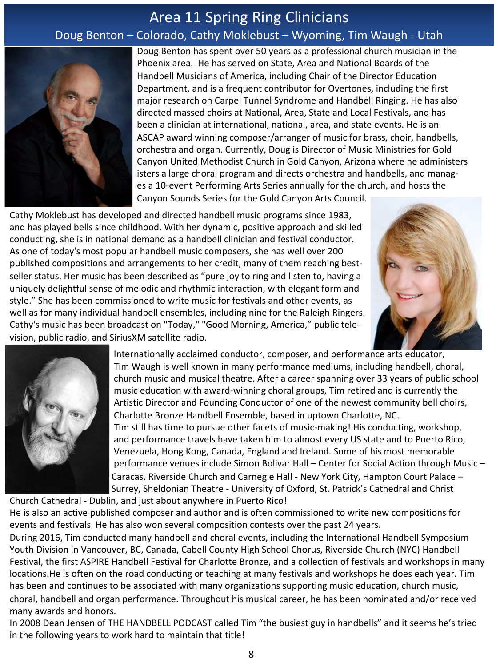# Area 11 Spring Ring Clinicians Doug Benton – Colorado, Cathy Moklebust – Wyoming, Tim Waugh - Utah



Doug Benton has spent over 50 years as a professional church musician in the Phoenix area. He has served on State, Area and National Boards of the Handbell Musicians of America, including Chair of the Director Education Department, and is a frequent contributor for Overtones, including the first major research on Carpel Tunnel Syndrome and Handbell Ringing. He has also directed massed choirs at National, Area, State and Local Festivals, and has been a clinician at international, national, area, and state events. He is an ASCAP award winning composer/arranger of music for brass, choir, handbells, orchestra and organ. Currently, Doug is Director of Music Ministries for Gold Canyon United Methodist Church in Gold Canyon, Arizona where he administers isters a large choral program and directs orchestra and handbells, and manages a 10-event Performing Arts Series annually for the church, and hosts the Canyon Sounds Series for the Gold Canyon Arts Council.

Cathy Moklebust has developed and directed handbell music programs since 1983, and has played bells since childhood. With her dynamic, positive approach and skilled conducting, she is in national demand as a handbell clinician and festival conductor. As one of today's most popular handbell music composers, she has well over 200 published compositions and arrangements to her credit, many of them reaching bestseller status. Her music has been described as "pure joy to ring and listen to, having a uniquely delightful sense of melodic and rhythmic interaction, with elegant form and style." She has been commissioned to write music for festivals and other events, as well as for many individual handbell ensembles, including nine for the Raleigh Ringers. Cathy's music has been broadcast on "Today," "Good Morning, America," public television, public radio, and SiriusXM satellite radio.





Internationally acclaimed conductor, composer, and performance arts educator, Tim Waugh is well known in many performance mediums, including handbell, choral, church music and musical theatre. After a career spanning over 33 years of public school music education with award-winning choral groups, Tim retired and is currently the Artistic Director and Founding Conductor of one of the newest community bell choirs, Charlotte Bronze Handbell Ensemble, based in uptown Charlotte, NC. Tim still has time to pursue other facets of music-making! His conducting, workshop, and performance travels have taken him to almost every US state and to Puerto Rico, Venezuela, Hong Kong, Canada, England and Ireland. Some of his most memorable performance venues include Simon Bolivar Hall – Center for Social Action through Music – Caracas, Riverside Church and Carnegie Hall - New York City, Hampton Court Palace – Surrey, Sheldonian Theatre - University of Oxford, St. Patrick's Cathedral and Christ

Church Cathedral - Dublin, and just about anywhere in Puerto Rico! He is also an active published composer and author and is often commissioned to write new compositions for events and festivals. He has also won several composition contests over the past 24 years.

During 2016, Tim conducted many handbell and choral events, including the International Handbell Symposium Youth Division in Vancouver, BC, Canada, Cabell County High School Chorus, Riverside Church (NYC) Handbell Festival, the first ASPIRE Handbell Festival for Charlotte Bronze, and a collection of festivals and workshops in many locations.He is often on the road conducting or teaching at many festivals and workshops he does each year. Tim has been and continues to be associated with many organizations supporting music education, church music, choral, handbell and organ performance. Throughout his musical career, he has been nominated and/or received many awards and honors.

In 2008 Dean Jensen of THE HANDBELL PODCAST called Tim "the busiest guy in handbells" and it seems he's tried in the following years to work hard to maintain that title!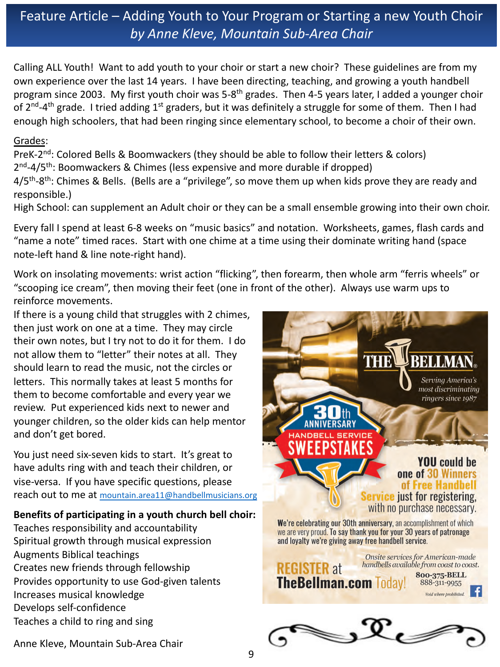# Feature Article – Adding Youth to Your Program or Starting a new Youth Choir *by Anne Kleve, Mountain Sub-Area Chair*

Calling ALL Youth! Want to add youth to your choir or start a new choir? These guidelines are from my own experience over the last 14 years. I have been directing, teaching, and growing a youth handbell program since 2003. My first youth choir was 5-8<sup>th</sup> grades. Then 4-5 years later, I added a younger choir of  $2^{nd}$ -4<sup>th</sup> grade. I tried adding  $1^{st}$  graders, but it was definitely a struggle for some of them. Then I had enough high schoolers, that had been ringing since elementary school, to become a choir of their own.

#### Grades:

PreK-2<sup>nd</sup>: Colored Bells & Boomwackers (they should be able to follow their letters & colors)  $2<sup>nd</sup>-4/5<sup>th</sup>$ : Boomwackers & Chimes (less expensive and more durable if dropped)

4/5<sup>th</sup>-8<sup>th</sup>: Chimes & Bells. (Bells are a "privilege", so move them up when kids prove they are ready and responsible.)

High School: can supplement an Adult choir or they can be a small ensemble growing into their own choir.

Every fall I spend at least 6-8 weeks on "music basics" and notation. Worksheets, games, flash cards and "name a note" timed races. Start with one chime at a time using their dominate writing hand (space note-left hand & line note-right hand).

Work on insolating movements: wrist action "flicking", then forearm, then whole arm "ferris wheels" or "scooping ice cream", then moving their feet (one in front of the other). Always use warm ups to reinforce movements.

If there is a young child that struggles with 2 chimes, then just work on one at a time. They may circle their own notes, but I try not to do it for them. I do not allow them to "letter" their notes at all. They should learn to read the music, not the circles or letters. This normally takes at least 5 months for them to become comfortable and every year we review. Put experienced kids next to newer and younger children, so the older kids can help mentor and don't get bored.

You just need six-seven kids to start. It's great to have adults ring with and teach their children, or vise-versa. If you have specific questions, please reach out to me at mountain.area11@handbellmusicians.org

#### Benefits of participating in a youth church bell choir:

Teaches responsibility and accountability Spiritual growth through musical expression Augments Biblical teachings Creates new friends through fellowship Provides opportunity to use God-given talents Increases musical knowledge Develops self-confidence Teaches a child to ring and sing



Anne Kleve, Mountain Sub-Area Chair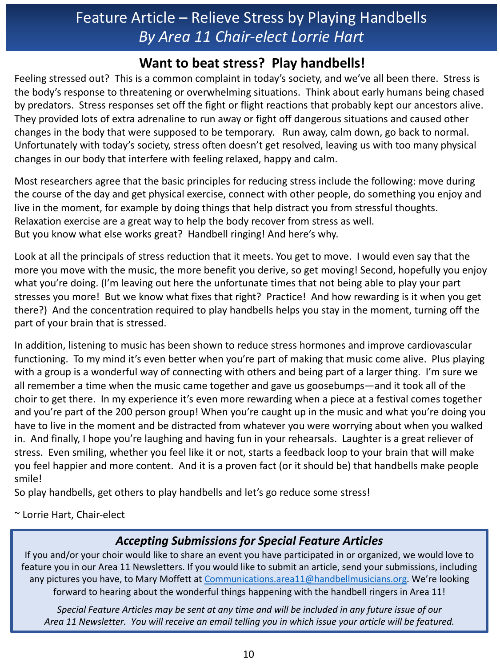# Feature Article  $-$  Relieve Stress by Playing Handbells *By Area 11 Chair-elect Lorrie Hart*

# **Want to beat stress? Play handbells!**

Feeling stressed out? This is a common complaint in today's society, and we've all been there. Stress is the body's response to threatening or overwhelming situations. Think about early humans being chased by predators. Stress responses set off the fight or flight reactions that probably kept our ancestors alive. They provided lots of extra adrenaline to run away or fight off dangerous situations and caused other changes in the body that were supposed to be temporary. Run away, calm down, go back to normal. Unfortunately with today's society, stress often doesn't get resolved, leaving us with too many physical changes in our body that interfere with feeling relaxed, happy and calm.

Most researchers agree that the basic principles for reducing stress include the following: move during the course of the day and get physical exercise, connect with other people, do something you enjoy and live in the moment, for example by doing things that help distract you from stressful thoughts. Relaxation exercise are a great way to help the body recover from stress as well. But you know what else works great? Handbell ringing! And here's why.

Look at all the principals of stress reduction that it meets. You get to move. I would even say that the more you move with the music, the more benefit you derive, so get moving! Second, hopefully you enjoy what you're doing. (I'm leaving out here the unfortunate times that not being able to play your part stresses you more! But we know what fixes that right? Practice! And how rewarding is it when you get there?) And the concentration required to play handbells helps you stay in the moment, turning off the part of your brain that is stressed.

In addition, listening to music has been shown to reduce stress hormones and improve cardiovascular functioning. To my mind it's even better when you're part of making that music come alive. Plus playing with a group is a wonderful way of connecting with others and being part of a larger thing. I'm sure we all remember a time when the music came together and gave us goosebumps—and it took all of the choir to get there. In my experience it's even more rewarding when a piece at a festival comes together and you're part of the 200 person group! When you're caught up in the music and what you're doing you have to live in the moment and be distracted from whatever you were worrying about when you walked in. And finally, I hope you're laughing and having fun in your rehearsals. Laughter is a great reliever of stress. Even smiling, whether you feel like it or not, starts a feedback loop to your brain that will make you feel happier and more content. And it is a proven fact (or it should be) that handbells make people smile!

So play handbells, get others to play handbells and let's go reduce some stress!

~ Lorrie Hart, Chair-elect

## *Accepting Submissions for Special Feature Articles*

If you and/or your choir would like to share an event you have participated in or organized, we would love to feature you in our Area 11 Newsletters. If you would like to submit an article, send your submissions, including any pictures you have, to Mary Moffett at Communications.area11@handbellmusicians.org. We're looking forward to hearing about the wonderful things happening with the handbell ringers in Area 11!

Special Feature Articles may be sent at any time and will be included in any future issue of our Area 11 Newsletter. You will receive an email telling you in which issue your article will be featured.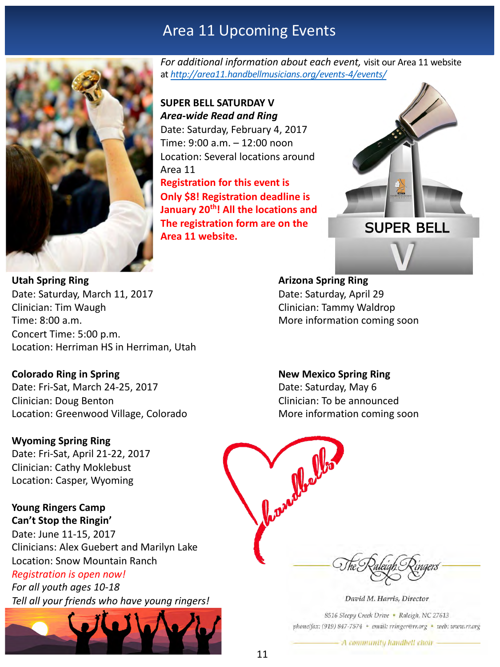# Area 11 Upcoming Events



For additional information about each event, visit our Area 11 website at *[http://area11.handbellmusicians.org/events-4/events/](http://area11.handbellmusicias.org/events-4/events/)*

# **SUPER BELL SATURDAY V** *Area-wide Read and Ring*

Date: Saturday, February 4, 2017 Time: 9:00 a.m. - 12:00 noon Location: Several locations around Area 11 **Registration for this event is Only \$8! Registration deadline is January 20<sup>th</sup>! All the locations and** 

The registration form are on the

**Area 11 website.**



**Utah Spring Ring Arizona Spring Ring** Date: Saturday, March 11, 2017 **Date: Saturday, April 29** Clinician: Tim Waugh Clinician: Tammy Waldrop Time: 8:00 a.m. Time: 8:00 a.m. Concert Time: 5:00 p.m. Location: Herriman HS in Herriman, Utah

Date: Fri-Sat, March 24-25, 2017 **Date: Saturday, May 6** Clinician: Doug Benton Clinician: To be announced Location: Greenwood Village, Colorado More information coming soon

#### **Wyoming Spring Ring**

Date: Fri-Sat, April 21-22, 2017 Clinician: Cathy Moklebust Location: Casper, Wyoming

#### **Young Ringers Camp Can't Stop the Ringin'**

Date: June 11-15, 2017 Clinicians: Alex Guebert and Marilyn Lake Location: Snow Mountain Ranch **Registration is open now!** 

*For all youth ages 10-18 Tell all your friends who have young ringers!*



#### **Colorado Ring in Spring**  The Mexico Spring Ring **New Mexico Spring Ring**

Carry Malles

David M. Harris, Director

8516 Sleepy Creek Drive · Raleigh, NC 27613 phone/fax: (919) 847-7574 · email: rringer@rr.org · web: www.rr.org

A community handbell choir